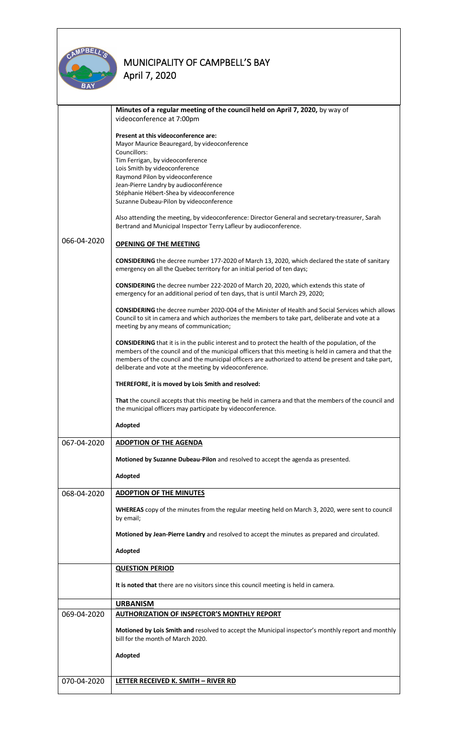

|             | Minutes of a regular meeting of the council held on April 7, 2020, by way of<br>videoconference at 7:00pm                                                                                                                                                                                                                                                                           |
|-------------|-------------------------------------------------------------------------------------------------------------------------------------------------------------------------------------------------------------------------------------------------------------------------------------------------------------------------------------------------------------------------------------|
|             | Present at this videoconference are:<br>Mayor Maurice Beauregard, by videoconference<br>Councillors:<br>Tim Ferrigan, by videoconference                                                                                                                                                                                                                                            |
|             | Lois Smith by videoconference                                                                                                                                                                                                                                                                                                                                                       |
|             | Raymond Pilon by videoconference<br>Jean-Pierre Landry by audioconférence                                                                                                                                                                                                                                                                                                           |
|             | Stéphanie Hébert-Shea by videoconference                                                                                                                                                                                                                                                                                                                                            |
|             | Suzanne Dubeau-Pilon by videoconference                                                                                                                                                                                                                                                                                                                                             |
|             | Also attending the meeting, by videoconference: Director General and secretary-treasurer, Sarah<br>Bertrand and Municipal Inspector Terry Lafleur by audioconference.                                                                                                                                                                                                               |
| 066-04-2020 | <b>OPENING OF THE MEETING</b>                                                                                                                                                                                                                                                                                                                                                       |
|             | <b>CONSIDERING</b> the decree number 177-2020 of March 13, 2020, which declared the state of sanitary<br>emergency on all the Quebec territory for an initial period of ten days;                                                                                                                                                                                                   |
|             | CONSIDERING the decree number 222-2020 of March 20, 2020, which extends this state of<br>emergency for an additional period of ten days, that is until March 29, 2020;                                                                                                                                                                                                              |
|             | <b>CONSIDERING</b> the decree number 2020-004 of the Minister of Health and Social Services which allows<br>Council to sit in camera and which authorizes the members to take part, deliberate and vote at a<br>meeting by any means of communication;                                                                                                                              |
|             | <b>CONSIDERING</b> that it is in the public interest and to protect the health of the population, of the<br>members of the council and of the municipal officers that this meeting is held in camera and that the<br>members of the council and the municipal officers are authorized to attend be present and take part,<br>deliberate and vote at the meeting by videoconference. |
|             | THEREFORE, it is moved by Lois Smith and resolved:                                                                                                                                                                                                                                                                                                                                  |
|             | That the council accepts that this meeting be held in camera and that the members of the council and<br>the municipal officers may participate by videoconference.                                                                                                                                                                                                                  |
|             | Adopted                                                                                                                                                                                                                                                                                                                                                                             |
| 067-04-2020 | <b>ADOPTION OF THE AGENDA</b>                                                                                                                                                                                                                                                                                                                                                       |
|             | Motioned by Suzanne Dubeau-Pilon and resolved to accept the agenda as presented.                                                                                                                                                                                                                                                                                                    |
|             | Adopted                                                                                                                                                                                                                                                                                                                                                                             |
| 068-04-2020 | <b>ADOPTION OF THE MINUTES</b>                                                                                                                                                                                                                                                                                                                                                      |
|             | WHEREAS copy of the minutes from the regular meeting held on March 3, 2020, were sent to council<br>by email;                                                                                                                                                                                                                                                                       |
|             | Motioned by Jean-Pierre Landry and resolved to accept the minutes as prepared and circulated.                                                                                                                                                                                                                                                                                       |
|             | Adopted                                                                                                                                                                                                                                                                                                                                                                             |
|             | <b>QUESTION PERIOD</b>                                                                                                                                                                                                                                                                                                                                                              |
|             | It is noted that there are no visitors since this council meeting is held in camera.                                                                                                                                                                                                                                                                                                |
|             | <b>URBANISM</b>                                                                                                                                                                                                                                                                                                                                                                     |
| 069-04-2020 | <b>AUTHORIZATION OF INSPECTOR'S MONTHLY REPORT</b>                                                                                                                                                                                                                                                                                                                                  |
|             | Motioned by Lois Smith and resolved to accept the Municipal inspector's monthly report and monthly<br>bill for the month of March 2020.                                                                                                                                                                                                                                             |
|             | Adopted                                                                                                                                                                                                                                                                                                                                                                             |
|             |                                                                                                                                                                                                                                                                                                                                                                                     |
| 070-04-2020 | LETTER RECEIVED K. SMITH - RIVER RD                                                                                                                                                                                                                                                                                                                                                 |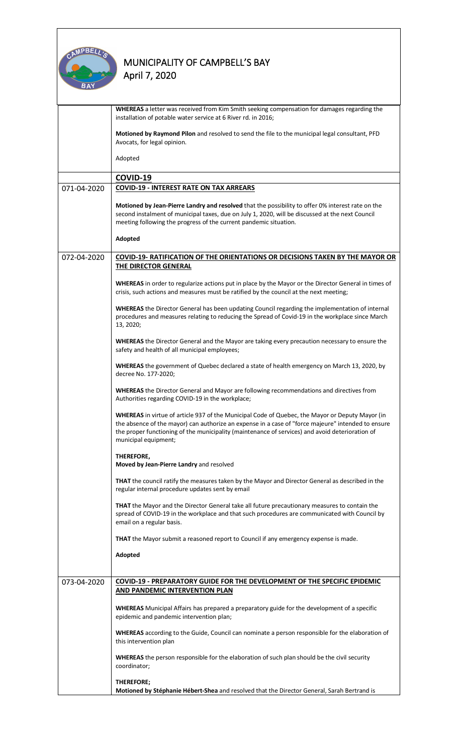

|             | WHEREAS a letter was received from Kim Smith seeking compensation for damages regarding the<br>installation of potable water service at 6 River rd. in 2016;                                                                                                                                                                     |  |  |  |
|-------------|----------------------------------------------------------------------------------------------------------------------------------------------------------------------------------------------------------------------------------------------------------------------------------------------------------------------------------|--|--|--|
|             | Motioned by Raymond Pilon and resolved to send the file to the municipal legal consultant, PFD<br>Avocats, for legal opinion.                                                                                                                                                                                                    |  |  |  |
|             | Adopted                                                                                                                                                                                                                                                                                                                          |  |  |  |
|             | COVID-19                                                                                                                                                                                                                                                                                                                         |  |  |  |
|             |                                                                                                                                                                                                                                                                                                                                  |  |  |  |
| 071-04-2020 | <b>COVID-19 - INTEREST RATE ON TAX ARREARS</b>                                                                                                                                                                                                                                                                                   |  |  |  |
|             | Motioned by Jean-Pierre Landry and resolved that the possibility to offer 0% interest rate on the<br>second instalment of municipal taxes, due on July 1, 2020, will be discussed at the next Council<br>meeting following the progress of the current pandemic situation.                                                       |  |  |  |
|             | Adopted                                                                                                                                                                                                                                                                                                                          |  |  |  |
| 072-04-2020 | <b>COVID-19- RATIFICATION OF THE ORIENTATIONS OR DECISIONS TAKEN BY THE MAYOR OR</b><br>THE DIRECTOR GENERAL                                                                                                                                                                                                                     |  |  |  |
|             | WHEREAS in order to regularize actions put in place by the Mayor or the Director General in times of<br>crisis, such actions and measures must be ratified by the council at the next meeting;                                                                                                                                   |  |  |  |
|             | WHEREAS the Director General has been updating Council regarding the implementation of internal<br>procedures and measures relating to reducing the Spread of Covid-19 in the workplace since March<br>13, 2020;                                                                                                                 |  |  |  |
|             | WHEREAS the Director General and the Mayor are taking every precaution necessary to ensure the<br>safety and health of all municipal employees;                                                                                                                                                                                  |  |  |  |
|             | WHEREAS the government of Quebec declared a state of health emergency on March 13, 2020, by<br>decree No. 177-2020;                                                                                                                                                                                                              |  |  |  |
|             | WHEREAS the Director General and Mayor are following recommendations and directives from<br>Authorities regarding COVID-19 in the workplace;                                                                                                                                                                                     |  |  |  |
|             | WHEREAS in virtue of article 937 of the Municipal Code of Quebec, the Mayor or Deputy Mayor (in<br>the absence of the mayor) can authorize an expense in a case of "force majeure" intended to ensure<br>the proper functioning of the municipality (maintenance of services) and avoid deterioration of<br>municipal equipment; |  |  |  |
|             | THEREFORE,<br>Moved by Jean-Pierre Landry and resolved                                                                                                                                                                                                                                                                           |  |  |  |
|             | <b>THAT</b> the council ratify the measures taken by the Mayor and Director General as described in the<br>regular internal procedure updates sent by email                                                                                                                                                                      |  |  |  |
|             | <b>THAT</b> the Mayor and the Director General take all future precautionary measures to contain the<br>spread of COVID-19 in the workplace and that such procedures are communicated with Council by<br>email on a regular basis.                                                                                               |  |  |  |
|             | THAT the Mayor submit a reasoned report to Council if any emergency expense is made.                                                                                                                                                                                                                                             |  |  |  |
|             | Adopted                                                                                                                                                                                                                                                                                                                          |  |  |  |
|             |                                                                                                                                                                                                                                                                                                                                  |  |  |  |
| 073-04-2020 | <b>COVID-19 - PREPARATORY GUIDE FOR THE DEVELOPMENT OF THE SPECIFIC EPIDEMIC</b><br>AND PANDEMIC INTERVENTION PLAN                                                                                                                                                                                                               |  |  |  |
|             | <b>WHEREAS</b> Municipal Affairs has prepared a preparatory guide for the development of a specific<br>epidemic and pandemic intervention plan;                                                                                                                                                                                  |  |  |  |
|             | WHEREAS according to the Guide, Council can nominate a person responsible for the elaboration of<br>this intervention plan                                                                                                                                                                                                       |  |  |  |
|             | <b>WHEREAS</b> the person responsible for the elaboration of such plan should be the civil security<br>coordinator;                                                                                                                                                                                                              |  |  |  |
|             |                                                                                                                                                                                                                                                                                                                                  |  |  |  |
|             | THEREFORE;<br>Motioned by Stéphanie Hébert-Shea and resolved that the Director General, Sarah Bertrand is                                                                                                                                                                                                                        |  |  |  |
|             |                                                                                                                                                                                                                                                                                                                                  |  |  |  |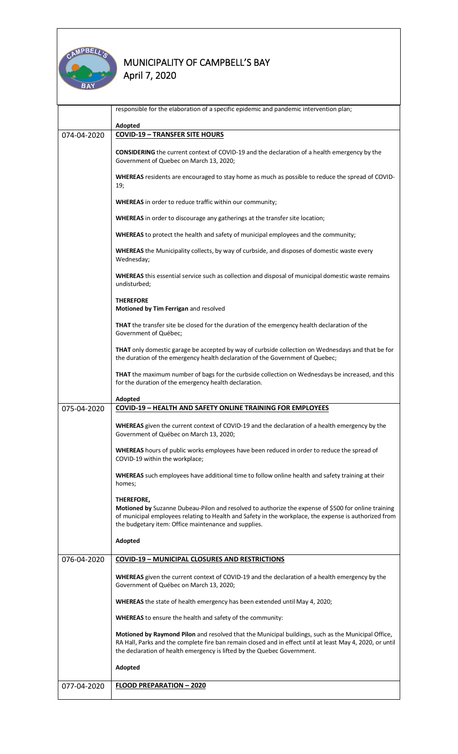

|             | responsible for the elaboration of a specific epidemic and pandemic intervention plan;                                                                                                                                                                                                     |  |  |
|-------------|--------------------------------------------------------------------------------------------------------------------------------------------------------------------------------------------------------------------------------------------------------------------------------------------|--|--|
|             | Adopted                                                                                                                                                                                                                                                                                    |  |  |
| 074-04-2020 | <b>COVID-19 - TRANSFER SITE HOURS</b>                                                                                                                                                                                                                                                      |  |  |
|             | <b>CONSIDERING</b> the current context of COVID-19 and the declaration of a health emergency by the<br>Government of Quebec on March 13, 2020;                                                                                                                                             |  |  |
|             | WHEREAS residents are encouraged to stay home as much as possible to reduce the spread of COVID-<br>19;                                                                                                                                                                                    |  |  |
|             | <b>WHEREAS</b> in order to reduce traffic within our community;                                                                                                                                                                                                                            |  |  |
|             | <b>WHEREAS</b> in order to discourage any gatherings at the transfer site location;                                                                                                                                                                                                        |  |  |
|             | WHEREAS to protect the health and safety of municipal employees and the community;                                                                                                                                                                                                         |  |  |
|             | <b>WHEREAS</b> the Municipality collects, by way of curbside, and disposes of domestic waste every<br>Wednesday;                                                                                                                                                                           |  |  |
|             | WHEREAS this essential service such as collection and disposal of municipal domestic waste remains<br>undisturbed;                                                                                                                                                                         |  |  |
|             | <b>THEREFORE</b><br>Motioned by Tim Ferrigan and resolved                                                                                                                                                                                                                                  |  |  |
|             | THAT the transfer site be closed for the duration of the emergency health declaration of the<br>Government of Québec;                                                                                                                                                                      |  |  |
|             | THAT only domestic garage be accepted by way of curbside collection on Wednesdays and that be for<br>the duration of the emergency health declaration of the Government of Quebec;                                                                                                         |  |  |
|             | THAT the maximum number of bags for the curbside collection on Wednesdays be increased, and this<br>for the duration of the emergency health declaration.                                                                                                                                  |  |  |
|             | Adopted                                                                                                                                                                                                                                                                                    |  |  |
| 075-04-2020 | <b>COVID-19 - HEALTH AND SAFETY ONLINE TRAINING FOR EMPLOYEES</b>                                                                                                                                                                                                                          |  |  |
|             | WHEREAS given the current context of COVID-19 and the declaration of a health emergency by the<br>Government of Québec on March 13, 2020;                                                                                                                                                  |  |  |
|             | WHEREAS hours of public works employees have been reduced in order to reduce the spread of<br>COVID-19 within the workplace;                                                                                                                                                               |  |  |
|             | WHEREAS such employees have additional time to follow online health and safety training at their<br>homes;                                                                                                                                                                                 |  |  |
|             | THEREFORE,<br>Motioned by Suzanne Dubeau-Pilon and resolved to authorize the expense of \$500 for online training<br>of municipal employees relating to Health and Safety in the workplace, the expense is authorized from<br>the budgetary item: Office maintenance and supplies.         |  |  |
|             | Adopted                                                                                                                                                                                                                                                                                    |  |  |
| 076-04-2020 | <b>COVID-19 - MUNICIPAL CLOSURES AND RESTRICTIONS</b>                                                                                                                                                                                                                                      |  |  |
|             | <b>WHEREAS</b> given the current context of COVID-19 and the declaration of a health emergency by the<br>Government of Québec on March 13, 2020;                                                                                                                                           |  |  |
|             | WHEREAS the state of health emergency has been extended until May 4, 2020;                                                                                                                                                                                                                 |  |  |
|             | <b>WHEREAS</b> to ensure the health and safety of the community:                                                                                                                                                                                                                           |  |  |
|             | Motioned by Raymond Pilon and resolved that the Municipal buildings, such as the Municipal Office,<br>RA Hall, Parks and the complete fire ban remain closed and in effect until at least May 4, 2020, or until<br>the declaration of health emergency is lifted by the Quebec Government. |  |  |
|             | Adopted                                                                                                                                                                                                                                                                                    |  |  |
| 077-04-2020 | <b>FLOOD PREPARATION - 2020</b>                                                                                                                                                                                                                                                            |  |  |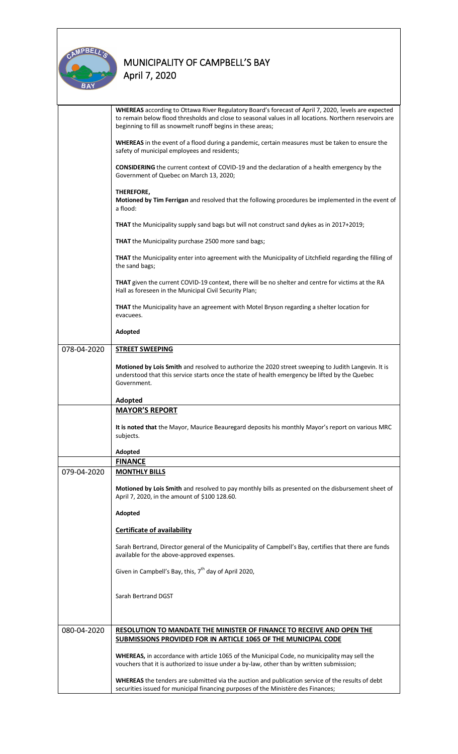

|             | WHEREAS according to Ottawa River Regulatory Board's forecast of April 7, 2020, levels are expected<br>to remain below flood thresholds and close to seasonal values in all locations. Northern reservoirs are<br>beginning to fill as snowmelt runoff begins in these areas; |  |  |
|-------------|-------------------------------------------------------------------------------------------------------------------------------------------------------------------------------------------------------------------------------------------------------------------------------|--|--|
|             | WHEREAS in the event of a flood during a pandemic, certain measures must be taken to ensure the<br>safety of municipal employees and residents;                                                                                                                               |  |  |
|             | <b>CONSIDERING</b> the current context of COVID-19 and the declaration of a health emergency by the<br>Government of Quebec on March 13, 2020;                                                                                                                                |  |  |
|             | THEREFORE,<br>Motioned by Tim Ferrigan and resolved that the following procedures be implemented in the event of<br>a flood:                                                                                                                                                  |  |  |
|             | THAT the Municipality supply sand bags but will not construct sand dykes as in 2017+2019;                                                                                                                                                                                     |  |  |
|             | <b>THAT</b> the Municipality purchase 2500 more sand bags;                                                                                                                                                                                                                    |  |  |
|             | THAT the Municipality enter into agreement with the Municipality of Litchfield regarding the filling of<br>the sand bags;                                                                                                                                                     |  |  |
|             | THAT given the current COVID-19 context, there will be no shelter and centre for victims at the RA<br>Hall as foreseen in the Municipal Civil Security Plan;                                                                                                                  |  |  |
|             | THAT the Municipality have an agreement with Motel Bryson regarding a shelter location for<br>evacuees.                                                                                                                                                                       |  |  |
|             | Adopted                                                                                                                                                                                                                                                                       |  |  |
| 078-04-2020 | <b>STREET SWEEPING</b>                                                                                                                                                                                                                                                        |  |  |
|             | Motioned by Lois Smith and resolved to authorize the 2020 street sweeping to Judith Langevin. It is<br>understood that this service starts once the state of health emergency be lifted by the Quebec<br>Government.                                                          |  |  |
|             | Adopted                                                                                                                                                                                                                                                                       |  |  |
|             | <b>MAYOR'S REPORT</b>                                                                                                                                                                                                                                                         |  |  |
|             | It is noted that the Mayor, Maurice Beauregard deposits his monthly Mayor's report on various MRC<br>subjects.                                                                                                                                                                |  |  |
|             | Adopted                                                                                                                                                                                                                                                                       |  |  |
|             | <b>FINANCE</b>                                                                                                                                                                                                                                                                |  |  |
| 079-04-2020 | <b>MONTHLY BILLS</b>                                                                                                                                                                                                                                                          |  |  |
|             | Motioned by Lois Smith and resolved to pay monthly bills as presented on the disbursement sheet of<br>April 7, 2020, in the amount of \$100 128.60.                                                                                                                           |  |  |
|             | Adopted                                                                                                                                                                                                                                                                       |  |  |
|             | <b>Certificate of availability</b>                                                                                                                                                                                                                                            |  |  |
|             | Sarah Bertrand, Director general of the Municipality of Campbell's Bay, certifies that there are funds<br>available for the above-approved expenses.                                                                                                                          |  |  |
|             | Given in Campbell's Bay, this, 7 <sup>th</sup> day of April 2020,                                                                                                                                                                                                             |  |  |
|             | Sarah Bertrand DGST                                                                                                                                                                                                                                                           |  |  |
|             |                                                                                                                                                                                                                                                                               |  |  |
| 080-04-2020 | <b>RESOLUTION TO MANDATE THE MINISTER OF FINANCE TO RECEIVE AND OPEN THE</b><br>SUBMISSIONS PROVIDED FOR IN ARTICLE 1065 OF THE MUNICIPAL CODE                                                                                                                                |  |  |
|             | WHEREAS, in accordance with article 1065 of the Municipal Code, no municipality may sell the<br>vouchers that it is authorized to issue under a by-law, other than by written submission;                                                                                     |  |  |
|             | WHEREAS the tenders are submitted via the auction and publication service of the results of debt<br>securities issued for municipal financing purposes of the Ministère des Finances;                                                                                         |  |  |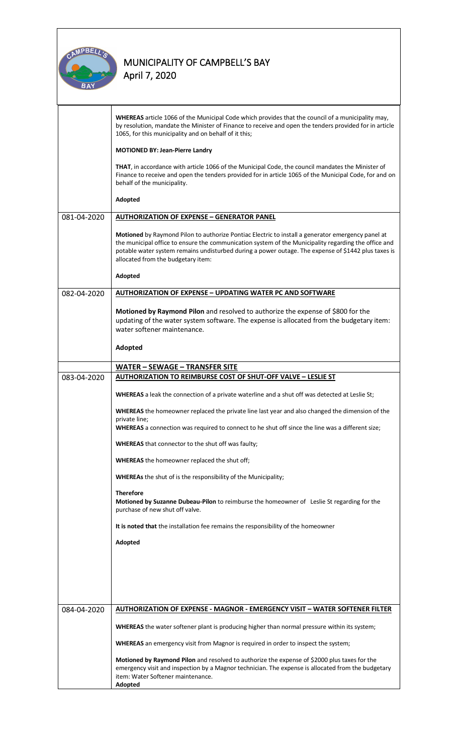

|             | WHEREAS article 1066 of the Municipal Code which provides that the council of a municipality may,<br>by resolution, mandate the Minister of Finance to receive and open the tenders provided for in article<br>1065, for this municipality and on behalf of it this;                                                                                   |  |  |
|-------------|--------------------------------------------------------------------------------------------------------------------------------------------------------------------------------------------------------------------------------------------------------------------------------------------------------------------------------------------------------|--|--|
|             | <b>MOTIONED BY: Jean-Pierre Landry</b>                                                                                                                                                                                                                                                                                                                 |  |  |
|             | THAT, in accordance with article 1066 of the Municipal Code, the council mandates the Minister of<br>Finance to receive and open the tenders provided for in article 1065 of the Municipal Code, for and on<br>behalf of the municipality.                                                                                                             |  |  |
|             | Adopted                                                                                                                                                                                                                                                                                                                                                |  |  |
| 081-04-2020 | <b>AUTHORIZATION OF EXPENSE - GENERATOR PANEL</b>                                                                                                                                                                                                                                                                                                      |  |  |
|             | Motioned by Raymond Pilon to authorize Pontiac Electric to install a generator emergency panel at<br>the municipal office to ensure the communication system of the Municipality regarding the office and<br>potable water system remains undisturbed during a power outage. The expense of \$1442 plus taxes is<br>allocated from the budgetary item: |  |  |
|             | Adopted                                                                                                                                                                                                                                                                                                                                                |  |  |
| 082-04-2020 | <b>AUTHORIZATION OF EXPENSE - UPDATING WATER PC AND SOFTWARE</b>                                                                                                                                                                                                                                                                                       |  |  |
|             | Motioned by Raymond Pilon and resolved to authorize the expense of \$800 for the<br>updating of the water system software. The expense is allocated from the budgetary item:<br>water softener maintenance.                                                                                                                                            |  |  |
|             | Adopted                                                                                                                                                                                                                                                                                                                                                |  |  |
|             | <b>WATER - SEWAGE - TRANSFER SITE</b>                                                                                                                                                                                                                                                                                                                  |  |  |
| 083-04-2020 | AUTHORIZATION TO REIMBURSE COST OF SHUT-OFF VALVE - LESLIE ST                                                                                                                                                                                                                                                                                          |  |  |
|             | WHEREAS a leak the connection of a private waterline and a shut off was detected at Leslie St;                                                                                                                                                                                                                                                         |  |  |
|             | <b>WHEREAS</b> the homeowner replaced the private line last year and also changed the dimension of the                                                                                                                                                                                                                                                 |  |  |
|             | private line;<br>WHEREAS a connection was required to connect to he shut off since the line was a different size;                                                                                                                                                                                                                                      |  |  |
|             | WHEREAS that connector to the shut off was faulty;                                                                                                                                                                                                                                                                                                     |  |  |
|             | WHEREAS the homeowner replaced the shut off;                                                                                                                                                                                                                                                                                                           |  |  |
|             | <b>WHEREAs</b> the shut of is the responsibility of the Municipality;                                                                                                                                                                                                                                                                                  |  |  |
|             | <b>Therefore</b><br>Motioned by Suzanne Dubeau-Pilon to reimburse the homeowner of Leslie St regarding for the<br>purchase of new shut off valve.                                                                                                                                                                                                      |  |  |
|             | It is noted that the installation fee remains the responsibility of the homeowner                                                                                                                                                                                                                                                                      |  |  |
|             | Adopted                                                                                                                                                                                                                                                                                                                                                |  |  |
|             |                                                                                                                                                                                                                                                                                                                                                        |  |  |
|             |                                                                                                                                                                                                                                                                                                                                                        |  |  |
|             |                                                                                                                                                                                                                                                                                                                                                        |  |  |
| 084-04-2020 | AUTHORIZATION OF EXPENSE - MAGNOR - EMERGENCY VISIT - WATER SOFTENER FILTER                                                                                                                                                                                                                                                                            |  |  |
|             | WHEREAS the water softener plant is producing higher than normal pressure within its system;                                                                                                                                                                                                                                                           |  |  |
|             | WHEREAS an emergency visit from Magnor is required in order to inspect the system;                                                                                                                                                                                                                                                                     |  |  |
|             | Motioned by Raymond Pilon and resolved to authorize the expense of \$2000 plus taxes for the                                                                                                                                                                                                                                                           |  |  |
|             | emergency visit and inspection by a Magnor technician. The expense is allocated from the budgetary<br>item: Water Softener maintenance.<br>Adopted                                                                                                                                                                                                     |  |  |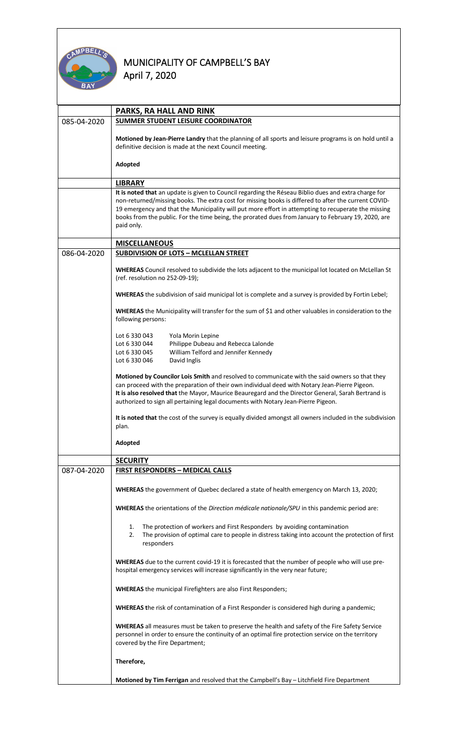

|             | PARKS, RA HALL AND RINK                                                                                                                                                                                                                                                                                                                                                                                                                  |  |  |
|-------------|------------------------------------------------------------------------------------------------------------------------------------------------------------------------------------------------------------------------------------------------------------------------------------------------------------------------------------------------------------------------------------------------------------------------------------------|--|--|
| 085-04-2020 | SUMMER STUDENT LEISURE COORDINATOR                                                                                                                                                                                                                                                                                                                                                                                                       |  |  |
|             | Motioned by Jean-Pierre Landry that the planning of all sports and leisure programs is on hold until a<br>definitive decision is made at the next Council meeting.                                                                                                                                                                                                                                                                       |  |  |
|             | Adopted                                                                                                                                                                                                                                                                                                                                                                                                                                  |  |  |
|             | <b>LIBRARY</b>                                                                                                                                                                                                                                                                                                                                                                                                                           |  |  |
|             | It is noted that an update is given to Council regarding the Réseau Biblio dues and extra charge for<br>non-returned/missing books. The extra cost for missing books is differed to after the current COVID-<br>19 emergency and that the Municipality will put more effort in attempting to recuperate the missing<br>books from the public. For the time being, the prorated dues from January to February 19, 2020, are<br>paid only. |  |  |
|             | <b>MISCELLANEOUS</b>                                                                                                                                                                                                                                                                                                                                                                                                                     |  |  |
| 086-04-2020 | <b>SUBDIVISION OF LOTS - MCLELLAN STREET</b>                                                                                                                                                                                                                                                                                                                                                                                             |  |  |
|             | WHEREAS Council resolved to subdivide the lots adjacent to the municipal lot located on McLellan St<br>(ref. resolution no 252-09-19);                                                                                                                                                                                                                                                                                                   |  |  |
|             | WHEREAS the subdivision of said municipal lot is complete and a survey is provided by Fortin Lebel;                                                                                                                                                                                                                                                                                                                                      |  |  |
|             | WHEREAS the Municipality will transfer for the sum of \$1 and other valuables in consideration to the<br>following persons:                                                                                                                                                                                                                                                                                                              |  |  |
|             | Lot 6 330 043<br>Yola Morin Lepine                                                                                                                                                                                                                                                                                                                                                                                                       |  |  |
|             | Philippe Dubeau and Rebecca Lalonde<br>Lot 6 330 044                                                                                                                                                                                                                                                                                                                                                                                     |  |  |
|             | William Telford and Jennifer Kennedy<br>Lot 6 330 045                                                                                                                                                                                                                                                                                                                                                                                    |  |  |
|             | Lot 6 330 046<br>David Inglis                                                                                                                                                                                                                                                                                                                                                                                                            |  |  |
|             | Motioned by Councilor Lois Smith and resolved to communicate with the said owners so that they<br>can proceed with the preparation of their own individual deed with Notary Jean-Pierre Pigeon.<br>It is also resolved that the Mayor, Maurice Beauregard and the Director General, Sarah Bertrand is<br>authorized to sign all pertaining legal documents with Notary Jean-Pierre Pigeon.                                               |  |  |
|             |                                                                                                                                                                                                                                                                                                                                                                                                                                          |  |  |
|             | It is noted that the cost of the survey is equally divided amongst all owners included in the subdivision<br>plan.                                                                                                                                                                                                                                                                                                                       |  |  |
|             | Adopted                                                                                                                                                                                                                                                                                                                                                                                                                                  |  |  |
|             | <b>SECURITY</b>                                                                                                                                                                                                                                                                                                                                                                                                                          |  |  |
| 087-04-2020 | <b>FIRST RESPONDERS - MEDICAL CALLS</b>                                                                                                                                                                                                                                                                                                                                                                                                  |  |  |
|             | WHEREAS the government of Quebec declared a state of health emergency on March 13, 2020;                                                                                                                                                                                                                                                                                                                                                 |  |  |
|             | WHEREAS the orientations of the Direction médicale nationale/SPU in this pandemic period are:                                                                                                                                                                                                                                                                                                                                            |  |  |
|             | The protection of workers and First Responders by avoiding contamination<br>1.<br>The provision of optimal care to people in distress taking into account the protection of first<br>2.<br>responders                                                                                                                                                                                                                                    |  |  |
|             | WHEREAS due to the current covid-19 it is forecasted that the number of people who will use pre-<br>hospital emergency services will increase significantly in the very near future;                                                                                                                                                                                                                                                     |  |  |
|             | <b>WHEREAS</b> the municipal Firefighters are also First Responders;                                                                                                                                                                                                                                                                                                                                                                     |  |  |
|             | <b>WHEREAS</b> the risk of contamination of a First Responder is considered high during a pandemic;                                                                                                                                                                                                                                                                                                                                      |  |  |
|             | <b>WHEREAS</b> all measures must be taken to preserve the health and safety of the Fire Safety Service<br>personnel in order to ensure the continuity of an optimal fire protection service on the territory<br>covered by the Fire Department;                                                                                                                                                                                          |  |  |
|             | Therefore,                                                                                                                                                                                                                                                                                                                                                                                                                               |  |  |
|             | Motioned by Tim Ferrigan and resolved that the Campbell's Bay - Litchfield Fire Department                                                                                                                                                                                                                                                                                                                                               |  |  |